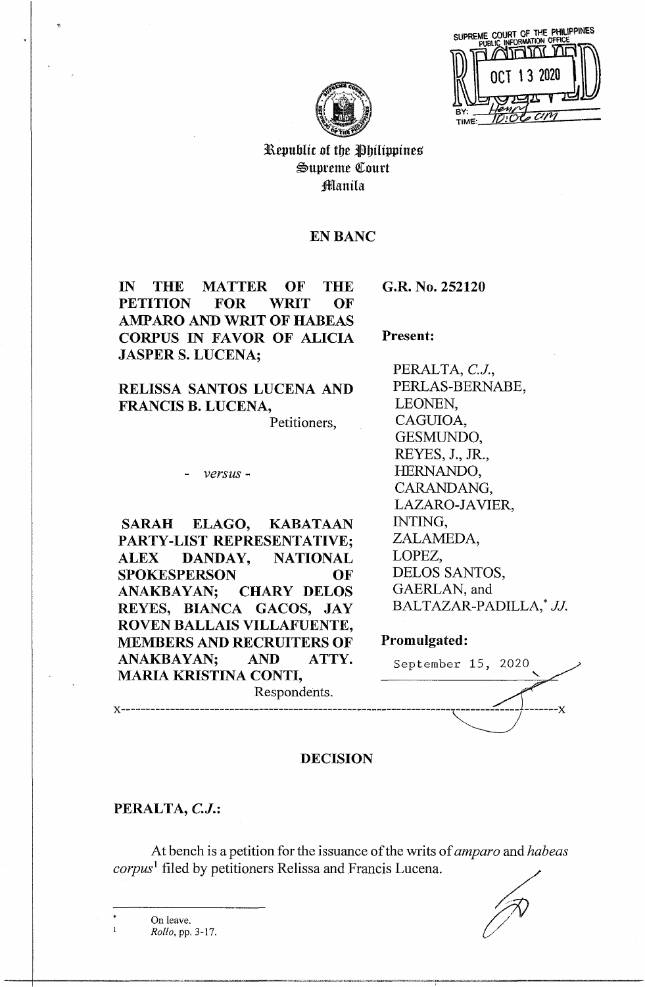|     | <b>III IPPINES</b><br>SUPREME COURT OF THE PH<br>PUBLIC INFORMATION OFFICE |
|-----|----------------------------------------------------------------------------|
|     |                                                                            |
|     | 1 3 2020<br>OE L                                                           |
|     |                                                                            |
| BY: |                                                                            |
|     |                                                                            |



# Republic of the Philippines Supreme Court ;§lllanila

# **EN BANC**

**IN THE MATTER OF THE PETITION FOR WRIT OF AMPARO AND WRIT OF HABEAS CORPUS IN FAVOR OF ALICIA JASPERS. LUCENA;** 

**RELISSA SANTOS LUCENA AND FRANCIS B. LUCENA,** 

Petitioners,

- *versus* -

**SARAH ELAGO, KABATAAN PARTY-LIST REPRESENTATIVE; ALEX DANDAY, NATIONAL SPOKESPERSON OF ANAKBAYAN; CHARY DELOS REYES, BIANCA GACOS, JAY ROVEN BALLAIS VILLAFUENTE, MEMBERS AND RECRUITERS OF Promulgated: ANAKBAYAN; AND ATTY.** September 15, 2020 **MARIA KRISTINA CONTI,** 

**G.R. No. 252120** 

**Present:** 

PERALTA, *C.J.,*  PERLAS-BERNABE, LEONEN, CAGUIOA, GESMUNDO, REYES, J., JR., HERNANDO, CARANDANG, LAZARO-JAVIER, INTING, ZALAMEDA, LOPEZ, DELOS SANTOS, GAERLAN, and BALTAZAR-PADILLA,\* *JJ.* 

x-------------------------------------------------------------------~-------x NND ATTY. September 15, 2020<br>CONTI, Respondents.

### **DECISION**

# **PERALTA, C.J.:**

At bench is a petition for the issuance of the writs of *amparo* and *habeas corpus*<sup>1</sup> filed by petitioners Relissa and Francis Lucena.

On leave. *Rollo,* pp. 3-17.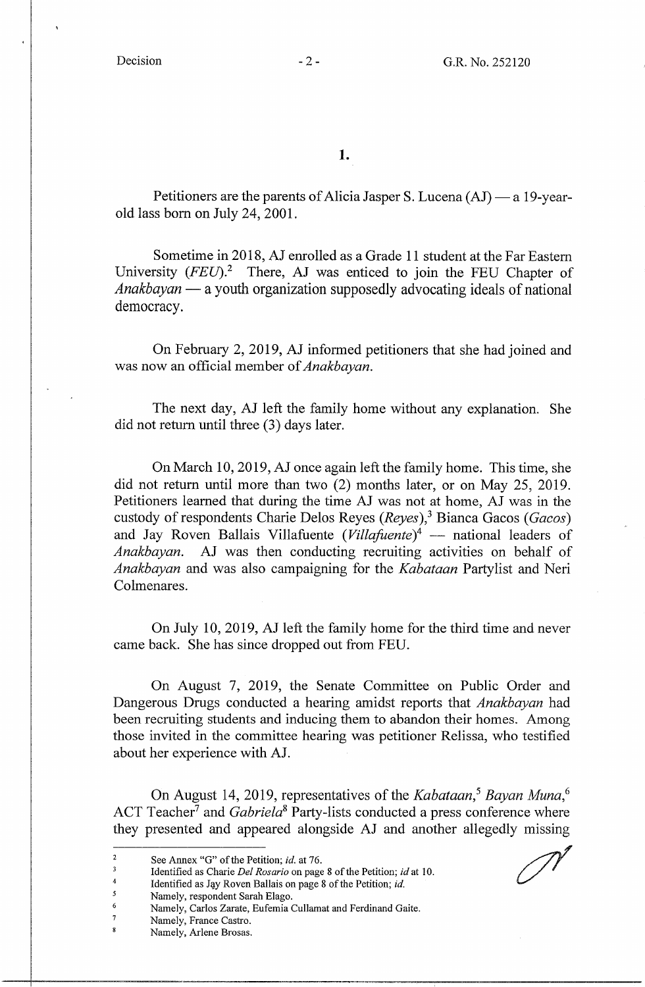1.

Petitioners are the parents of Alicia Jasper S. Lucena  $(AJ)$  — a 19-yearold lass born on July 24, 2001.

Sometime in 2018, AJ enrolled as a Grade 11 student at the Far Eastern University (FEU).<sup>2</sup> There, AJ was enticed to join the FEU Chapter of *Anakbayan* — a youth organization supposedly advocating ideals of national democracy.

On February 2, 2019, AJ informed petitioners that she had joined and was now an official member of *Anakbayan.* 

The next day, AJ left the family home without any explanation. She did not return until three (3) days later.

On March 10, 2019, AJ once again left the family home. This time, she did not return until more than two (2) months later, or on May 25, 2019. Petitioners learned that during the time AJ was not at home, AJ was in the custody of respondents Charie Delos Reyes (Reyes),<sup>3</sup> Bianca Gacos (Gacos) and Jay Roven Ballais Villafuente *(Villafuente)*<sup>4</sup> - national leaders of *Anakbayan.* AJ was then conducting recruiting activities on behalf of *Anakbayan* and was also campaigning for the *Kabataan* Partylist and Neri Colmenares.

On July 10, 2019, AJ left the family home for the third time and never came back. She has since dropped out from FEU.

On August 7, 2019, the Senate Committee on Public Order and Dangerous Drugs conducted a hearing amidst reports that *Anakbayan* had been recruiting students and inducing them to abandon their homes. Among those invited in the committee hearing was petitioner Relissa, who testified about her experience with AJ.

On August 14, 2019, representatives of the *Kabataan,5 Bayan Muna,6*  ACT Teacher<sup>7</sup> and *Gabriela*<sup>8</sup> Party-lists conducted a press conference where they presented and appeared alongside AJ and another allegedly missing

7 Namely, France Castro.

<sup>2</sup>  See Annex "G" of the Petition; *id.* at 76.

 $\overline{\mathbf{3}}$ Identified as Charie *Del Rosario* on page 8 of the Petition; *id* at 10. 4

Identified as Jay Roven Ballais on page 8 of the Petition; *id.* 

*<sup>5</sup>*  Namely, respondent Sarah Elago.

<sup>6</sup>  Namely, Carlos Zarate, Eufemia Cullamat and Ferdinand Gaite.

<sup>8</sup> Namely, Arlene Brosas.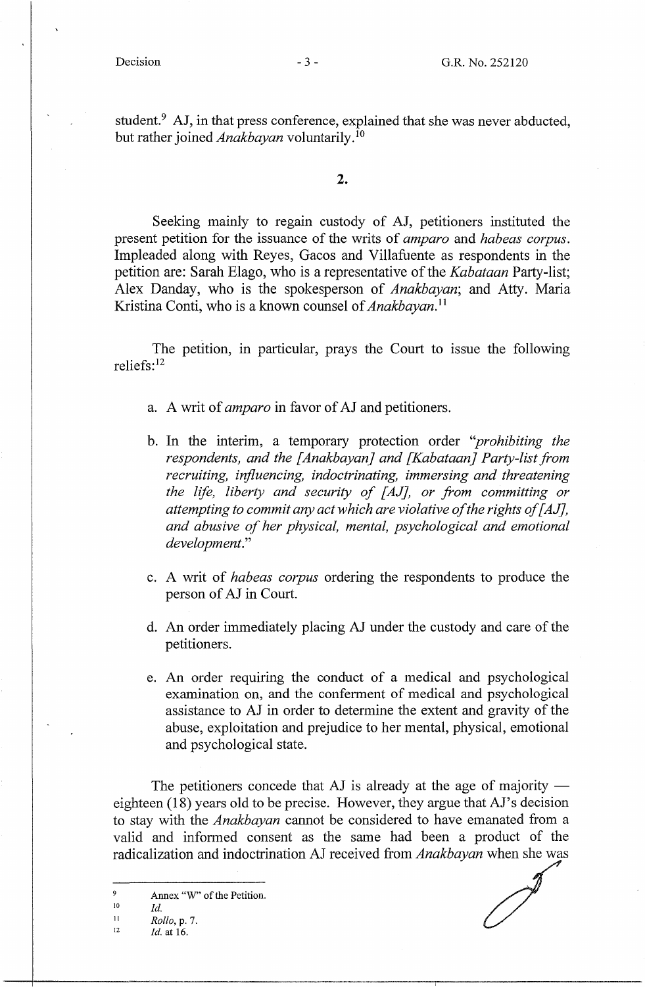student.<sup>9</sup> AJ, in that press conference, explained that she was never abducted, but rather joined *Anakbayan* voluntarily. <sup>10</sup>

2.

Seeking mainly to regain custody of AJ, petitioners instituted the present petition for the issuance of the writs of *amparo* and *habeas corpus.*  Impleaded along with Reyes, Gacos and Villafuente as respondents in the petition are: Sarah Elago, who is a representative of the *Kabataan* Party-list; Alex Danday, who is the spokesperson of *Anakbayan;* and Atty. Maria Kristina Conti, who is a known counsel of *Anakbayan.* <sup>11</sup>

The petition, in particular, prays the Court to issue the following reliefs: <sup>12</sup>

- a. A writ of *amparo* in favor of AJ and petitioners.
- b. In the interim, a temporary protection order *''prohibiting the*  respondents, and the [Anakbayan] and [Kabataan] Party-list from *recruiting, influencing, indoctrinating, immersing and threatening the life, liberty and security of [ AJ], or from committing or attempting to commit any act which are violative of the rights of [ AJJ, and abusive of her physical, mental, psychological and emotional development."*
- c. A writ of *habeas corpus* ordering the respondents to produce the person of AJ in Court.
- d. An order immediately placing AJ under the custody and care of the petitioners.
- e. An order requiring the conduct of a medical and psychological examination on, and the conferment of medical and psychological assistance to AJ in order to determine the extent and gravity of the abuse, exploitation and prejudice to her mental, physical, emotional and psychological state.

The petitioners concede that AJ is already at the age of majority  $$ eighteen (18) years old to be precise. However, they argue that AJ's decision to stay with the *Anakbayan* cannot be considered to have emanated from a valid and informed consent as the same had been a product of the radicalization and indoctrination AJ received from *Anakbayan* when she was

<sup>9</sup>  Annex "W" of the Petition.

<sup>10</sup>  *Id.* 

II 12 *Rollo,* p. 7.

*Id.* at 16.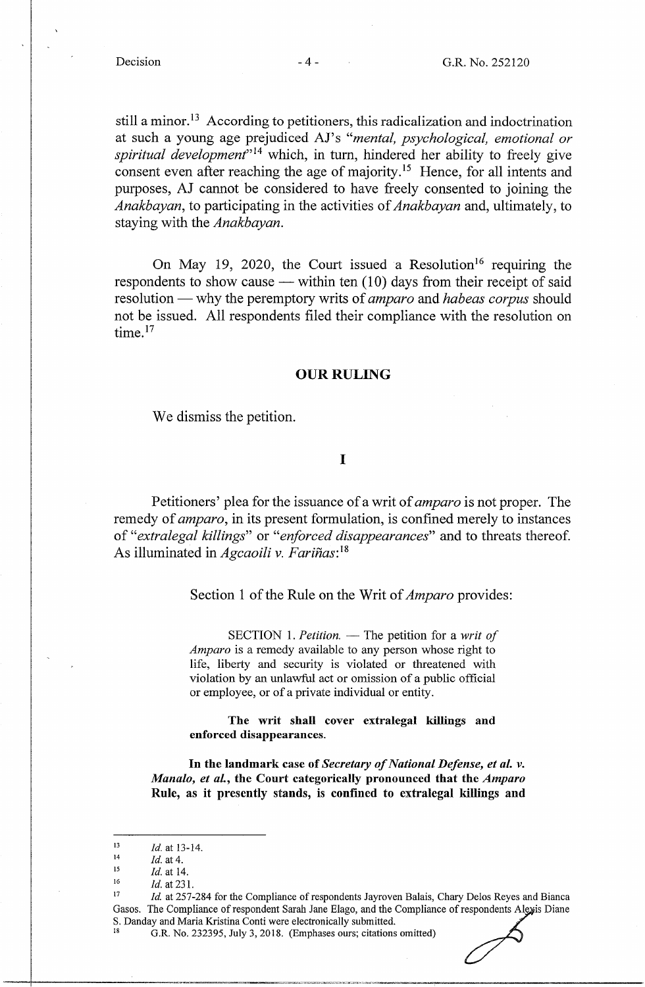still a minor.<sup>13</sup> According to petitioners, this radicalization and indoctrination at such a young age prejudiced AJ' s *"mental, psychological, emotional or spiritual development*<sup>14</sup> which, in turn, hindered her ability to freely give consent even after reaching the age of majority.<sup>15</sup> Hence, for all intents and purposes, AJ cannot be considered to have freely consented to joining the *Anakbayan,* to participating in the activities of *Anakbayan* and, ultimately, to staying with the *Anakbayan.* 

On May 19, 2020, the Court issued a Resolution<sup>16</sup> requiring the respondents to show cause  $-$  within ten (10) days from their receipt of said resolution — why the peremptory writs of *amparo* and *habeas corpus* should not be issued. All respondents filed their compliance with the resolution on time.<sup>17</sup>

#### **OUR RULING**

We dismiss the petition.

#### I

Petitioners' plea for the issuance of a writ of *amparo* is not proper. The remedy of *amparo,* in its present formulation, is confined merely to instances of *"extralegal killings"* or *"enforced disappearances"* and to threats thereof. As illuminated in *Agcaoili* v. *Farinas:* <sup>18</sup>

Section 1 of the Rule on the Writ of *Amparo* provides:

SECTION 1. *Petition.* — The petition for a *writ of Amparo* is a remedy available to any person whose right to life, liberty and security is violated or threatened with violation by an unlawful act or omission of a public official or employee, or of a private individual or entity.

**The writ shall cover extralegal killings and enforced disappearances.** 

**In the landmark case of** *Secretary of National Defense, et al. v. Manalo, et al.,* **the Court categorically pronounced that the** *Amparo*  **Rule, as it presently stands, is confined to extralegal killings and** 

16

*Id.* at 231. *Id.* at 231. *Id.* at 257-284 for the Compliance of respondents Jayroven Balais, Chary Delos Reyes and Bianca Gasos. The Compliance of respondent Sarah Jane Elago, and the Compliance of respondents Alexis Diane<br>S. Danday and Maria Kristina Conti were electronically submitted.

G.R. No. 232395, July 3, 2018. (Emphases ours; citations omitted)

<sup>13</sup>  *Id.* at 13-14.

<sup>14</sup>  *Id.* at 4.

<sup>15</sup>  Id. at 14.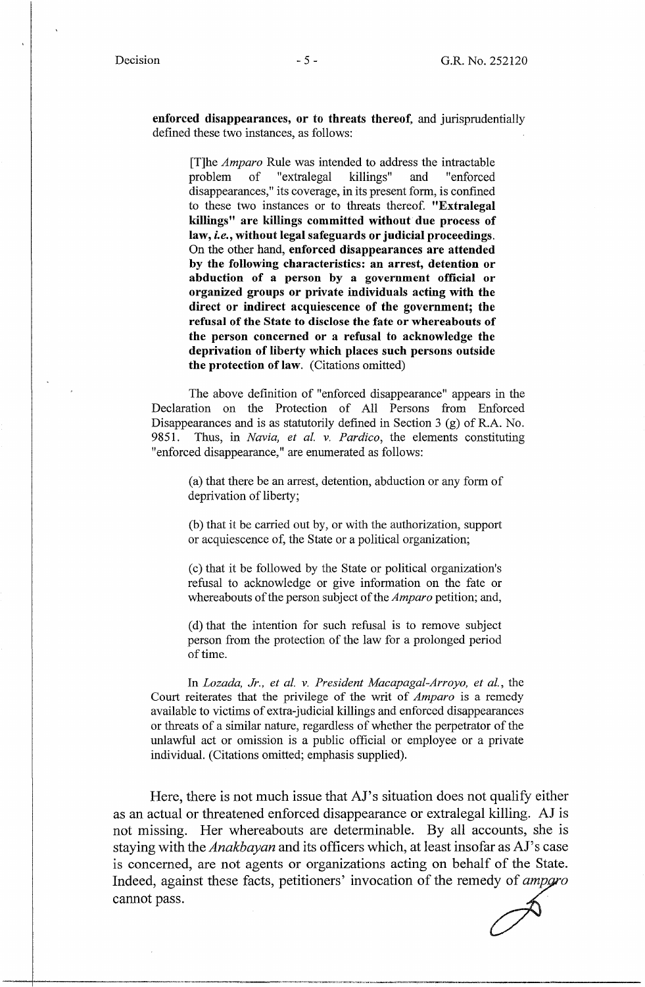**enforced disappearances, or to threats thereof,** and jurisprudentially defined these two instances, as follows:

[T]he *Amparo* Rule was intended to address the intractable problem of "extralegal killings" and "enforced disappearances," its coverage, in its present form, is confined to these two instances or to threats thereof. **"Extralegal killings" are killings committed without due process of law,** *i.e.,* **without legal safeguards or judicial proceedings.**  On the other hand, **enforced disappearances are attended by the following characteristics: an arrest, detention or abduction of a person by a government official or organized groups or private individuals acting with the direct or indirect acquiescence of the government; the refusal of the State to disclose the fate or whereabouts of the person concerned or a refusal to acknowledge the deprivation of liberty which places such persons outside the protection of law.** (Citations omitted)

The above definition of "enforced disappearance" appears in the Declaration on the Protection of All Persons from Enforced Disappearances and is as statutorily defined in Section 3 (g) of R.A. No. 9851. Thus, in *Navia, et al. v. Pardico,* the elements constituting "enforced disappearance," are enumerated as follows:

(a) that there be an arrest, detention, abduction or any form of deprivation of liberty;

(b) that it be carried out by, or with the authorization, support or acquiescence of, the State or a political organization;

(c) that it be followed by the State or political organization's refusal to acknowledge or give information on the fate or whereabouts of the person subject of the *Amparo* petition; and,

( d) that the intention for such refusal is to remove subject person from the protection of the law for a prolonged period of time.

In *Lozada, Jr., et al. v. President Macapagal-Arroyo, et al.,* the Court reiterates that the privilege of the writ of *Amparo* is a remedy available to victims of extra-judicial killings and enforced disappearances or threats of a similar nature, regardless of whether the perpetrator of the unlawful act or omission is a public official or employee or a private individual. (Citations omitted; emphasis supplied).

Here, there is not much issue that AJ's situation does not qualify either as an actual or threatened enforced disappearance or extralegal killing. AJ is not missing. Her whereabouts are determinable. By all accounts, she is staying with the *Anakbayan* and its officers which, at least insofar as AJ' s case is concerned, are not agents or organizations acting on behalf of the State. Indeed, against these facts, petitioners' invocation of the remedy of *ampgro* Indeed, against these facts, petitioners' invocation of the remedy of *ampgro* Indeed, against these facts, petitioners' invocation of the remedy of *c* cannot pass.

---i-------------------------· ... ,~,·--~,--------------------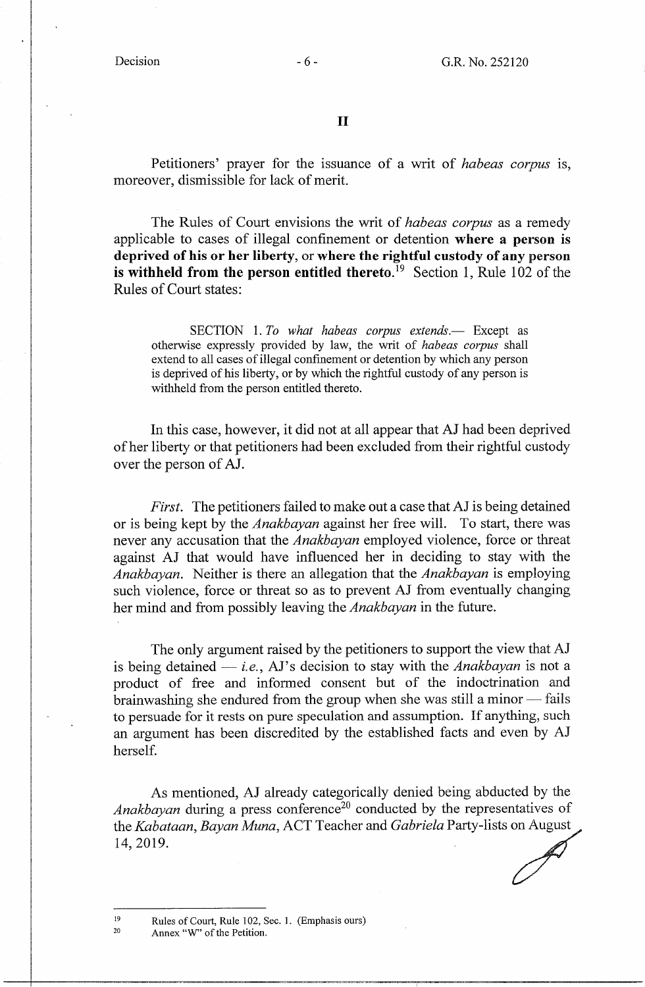II

Petitioners' prayer for the issuance of a writ of *habeas corpus* 1s, moreover, dismissible for lack of merit.

The Rules of Court envisions the writ of *habeas corpus* as a remedy applicable to cases of illegal confinement or detention **where a person is deprived of his or her liberty,** or **where the rightful custody of any person is withheld from the person entitled thereto.<sup>19</sup> Section 1, Rule 102 of the** Rules of Court states:

SECTION 1. To what habeas corpus extends.-- Except as otherwise expressly provided by law, the writ of *habeas corpus* shall extend to all cases of illegal confinement or detention by which any person is deprived of his liberty, or by which the rightful custody of any person is withheld from the person entitled thereto.

In this case, however, it did not at all appear that AJ had been deprived of her liberty or that petitioners had been excluded from their rightful custody over the person of AJ.

*First.* The petitioners failed to make out a case that AJ is being detained or is being kept by the *Anakbayan* against her free will. To start, there was never any accusation that the *Anakbayan* employed violence, force or threat against AJ that would have influenced her in deciding to stay with the *Anakbayan.* Neither is there an allegation that the *Anakbayan* is employing such violence, force or threat so as to prevent AJ from eventually changing her mind and from possibly leaving the *Anakbayan* in the future.

The only argument raised by the petitioners to support the view that AJ is being detained  $-i.e.,$  AJ's decision to stay with the *Anakbayan* is not a product of free and informed consent but of the indoctrination and brainwashing she endured from the group when she was still a minor  $-$  fails to persuade for it rests on pure speculation and assumption. If anything, such an argument has been discredited by the established facts and even by AJ herself.

As mentioned, AJ already categorically denied being abducted by the *Anakbayan* during a press conference<sup>20</sup> conducted by the representatives of the *Kabataan, Bayan Muna,* ACT Teacher and *Gabriela* Party-lists on August the *Kabataan*, *Bayan Muna*, ACT Teacher and *Gabriela* Party-lists on August 14, 2019.

19 20 Rules of Court, Rule 102, Sec. 1. (Emphasis ours) Annex "W'' of the Petition.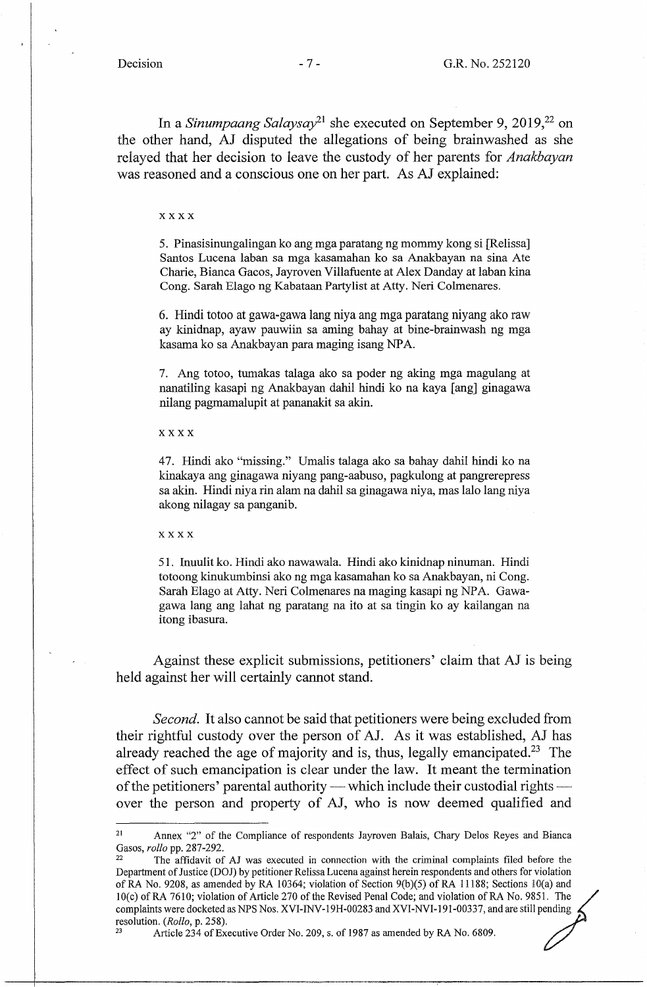In a *Sinumpaang Salaysay*<sup>21</sup> she executed on September 9, 2019,<sup>22</sup> on the other hand, AJ disputed the allegations of being brainwashed as she relayed that her decision to leave the custody of her parents for *Anakbayan*  was reasoned and a conscious one on her part. As AJ explained:

#### **xxxx**

5. Pinasisinungalingan ko ang mga paratang ng mommy kong si [Relissa] Santos Lucena laban sa mga kasamahan ko sa Anakbayan na sina Ate Charie, Bianca Gacos, Jayroven Villafuente at Alex Danday at laban kina Cong. Sarah Elago ng Kabataan Partylist at Atty. Neri Colmenares.

6. Hindi totoo at gawa-gawa lang niya ang mga paratang niyang ako raw ay kinidnap, ayaw pauwiin sa aming bahay at bine-brainwash ng mga kasama ko sa Anakbayan para maging isang NPA.

7. Ang totoo, tumakas talaga ako sa poder ng aking mga magulang at nanatiling kasapi ng Anakbayan dahil hindi ko na kaya [ ang] ginagawa nilang pagmamalupit at pananakit sa akin.

**xxxx** 

47. Hindi ako "missing." Umalis talaga ako sa bahay dahil hindi ko na kinakaya ang ginagawa niyang pang-aabuso, pagkulong at pangrerepress sa akin. Hindi niya rin alam na dahil sa ginagawa niya, mas lalo lang niya akong nilagay sa panganib.

#### **xxxx**

51. Inuulit ko. Hindi ako nawawala. Hindi ako kinidnap ninuman. Hindi totoong kinukumbinsi ako ng mga kasamahan ko sa Anakbayan, ni Cong. Sarah Elago at Atty. Neri Colmenares na maging kasapi ng NPA. Gawagawa lang ang lahat ng paratang na ito at sa tingin ko ay kailangan na itong ibasura.

Against these explicit submissions, petitioners' claim that AJ is being held against her will certainly cannot stand.

*Second.* It also cannot be said that petitioners were being excluded from their rightful custody over the person of AJ. As it was established, AJ has already reached the age of majority and is, thus, legally emancipated.<sup>23</sup> The effect of such emancipation is clear under the law. It meant the termination of the petitioners' parental authority — which include their custodial rights over the person and property of AJ, who is now deemed qualified and

<sup>21</sup> Annex "2" of the Compliance of respondents Jayroven Balais, Chary Delos Reyes and Bianca Gasos, *rollo* pp. 287-292.<br><sup>22</sup> The affidavit of AJ was executed in connection with the criminal complaints filed before the

Department of Justice (DOJ) by petitioner Relissa Lucena against herein respondents and others for violation of RA No. 9208, as amended by RA 10364; violation of Section 9(b)(5) of RA 11188; Sections IO(a) and 10(c) of RA 7610; violation of Article 270 of the Revised Penal Code; and violation of RA No. 9851. The complaints were docketed as NPS Nos. XVI-INV-19H-00283 and XVI-NVI-191-00337, and are still pending

resolution. *(Rollo, p. 258).* <br><sup>23</sup> Article 234 of Executive Order No. 209, s. of 1987 as amended by RA No. 6809.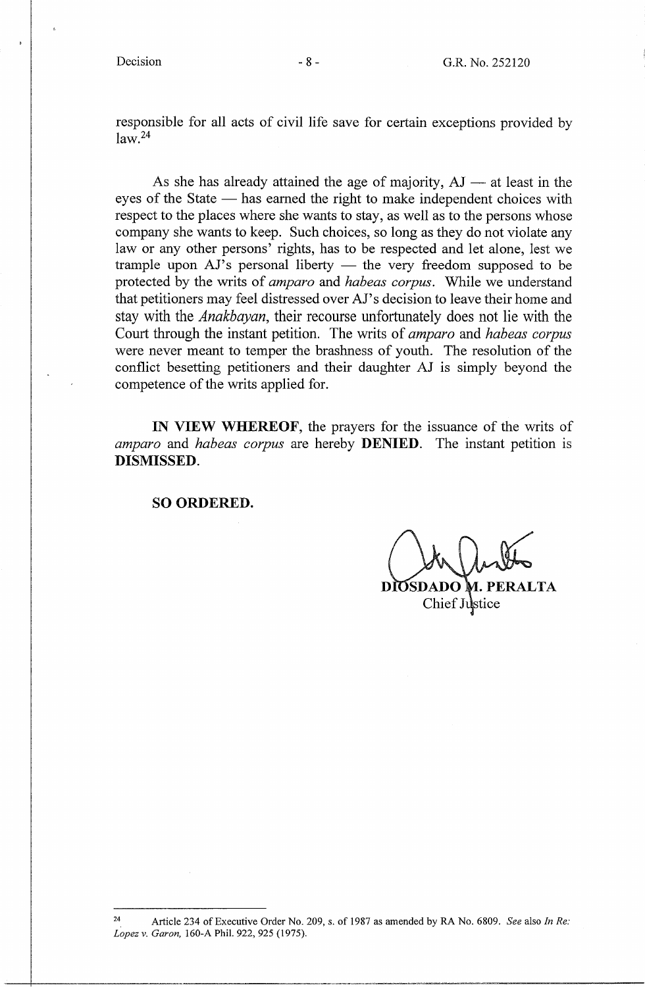responsible for all acts of civil life save for certain exceptions provided by  $law.<sup>24</sup>$ 

As she has already attained the age of majority,  $AJ$  — at least in the eyes of the State  $-$  has earned the right to make independent choices with respect to the places where she wants to stay, as well as to the persons whose company she wants to keep. Such choices, so long as they do not violate any law or any other persons' rights, has to be respected and let alone, lest we trample upon  $AJ$ 's personal liberty  $-$  the very freedom supposed to be protected by the writs of *amparo* and *habeas corpus.* While we understand that petitioners may feel distressed over AJ' s decision to leave their home and stay with the *Anakbayan,* their recourse unfortunately does not lie with the Court through the instant petition. The writs of *amparo* and *habeas corpus*  were never meant to temper the brashness of youth. The resolution of the conflict besetting petitioners and their daughter AJ is simply beyond the competence of the writs applied for.

**IN VIEW WHEREOF,** the prayers for the issuance of the writs of *amparo* and *habeas corpus* are hereby **DENIED.** The instant petition is **DISMISSED.** 

**SO ORDERED.** 

DIOSDADO M. PERALTA Chief Justice

<sup>24</sup> Article 234 of Executive Order No. 209, s. of 1987 as amended by RA No. 6809. *See* also *In Re: Lopez v. Garon,* 160-A Phil. 922, 925 (1975).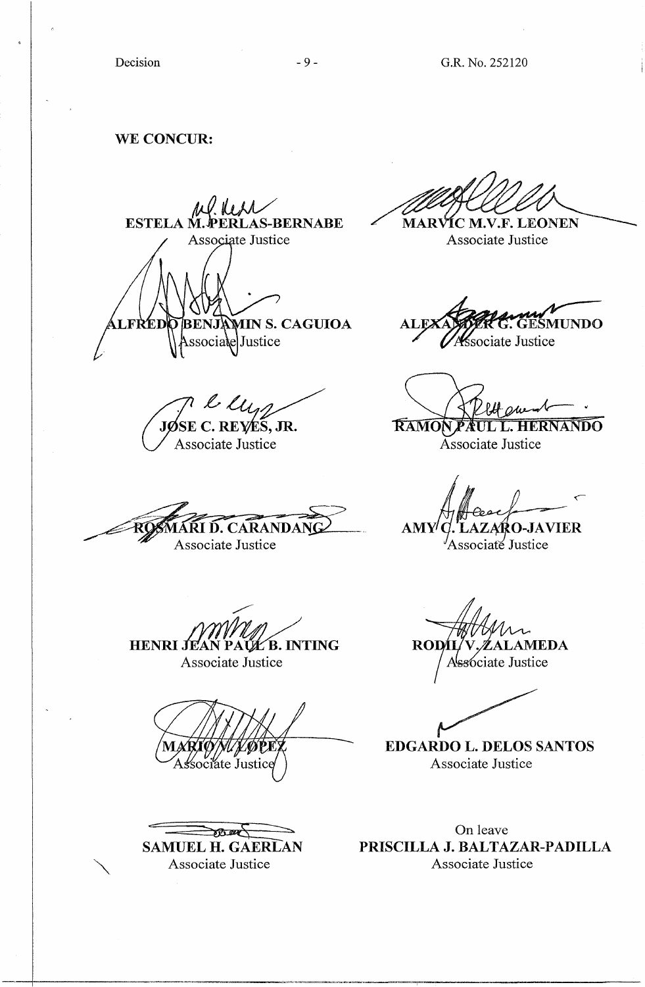Decision  $-9-$ 

WE CONCUR:

 $n$ l. Kerr ESTELA M. PERLAS-BERNABE

**JAMIN S. CAGUIOA** ssociale Justice

MARV **ÍC M.V.F. LEONEN** 

Associate Justice

**AUNDO** WASsociate Justice

Associate Justice

Associate Justice

**ZARO-JAVIER** 

**AMY<sup>|</sup>**  $\boldsymbol{C}$ **.'L** 

*7<sup>1</sup> l ly* 7 Associate Justice

RI D. CARANDAI Associate Justice

~ **HENRI JEAN PAUL B. INTING** Associate Justice

**SAMUEL H. GAERLAN** Associate Justice

Associate Justic

RODII **AMEDA** Ssociate Justice

**EDGARDO L. DELOS SANTOS**  Associate Justice

On leave **PRISCILLA J. BALTAZAR-PADILLA**  Associate Justice